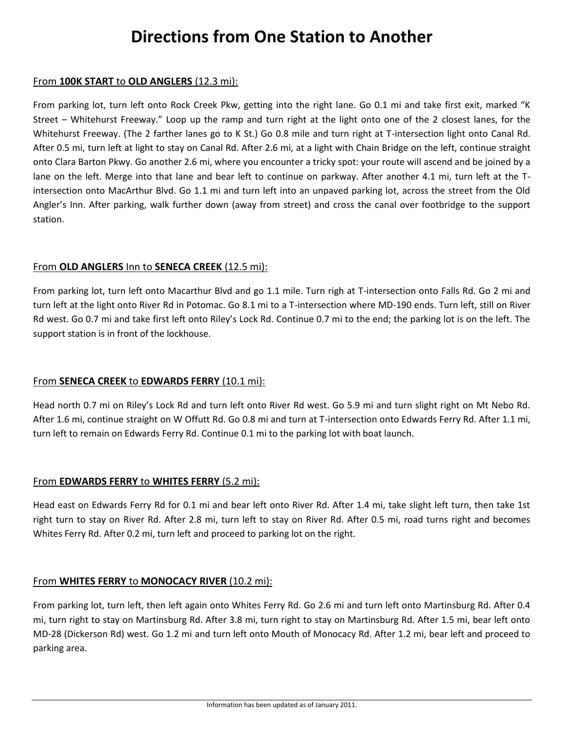# **Directions from One Station to Another**

#### From **100K START** to **OLD ANGLERS** (12.3 mi):

From parking lot, turn left onto Rock Creek Pkw, getting into the right lane. Go 0.1 mi and take first exit, marked "K Street – Whitehurst Freeway." Loop up the ramp and turn right at the light onto one of the 2 closest lanes, for the Whitehurst Freeway. (The 2 farther lanes go to K St.) Go 0.8 mile and turn right at T-intersection light onto Canal Rd. After 0.5 mi, turn left at light to stay on Canal Rd. After 2.6 mi, at a light with Chain Bridge on the left, continue straight onto Clara Barton Pkwy. Go another 2.6 mi, where you encounter a tricky spot: your route will ascend and be joined by a lane on the left. Merge into that lane and bear left to continue on parkway. After another 4.1 mi, turn left at the Tintersection onto MacArthur Blvd. Go 1.1 mi and turn left into an unpaved parking lot, across the street from the Old Angler's Inn. After parking, walk further down (away from street) and cross the canal over footbridge to the support station.

#### From **OLD ANGLERS** Inn to **SENECA CREEK** (12.5 mi):

From parking lot, turn left onto Macarthur Blvd and go 1.1 mile. Turn righ at T-intersection onto Falls Rd. Go 2 mi and turn left at the light onto River Rd in Potomac. Go 8.1 mi to a T-intersection where MD-190 ends. Turn left, still on River Rd west. Go 0.7 mi and take first left onto Riley's Lock Rd. Continue 0.7 mi to the end; the parking lot is on the left. The support station is in front of the lockhouse.

### From **SENECA CREEK** to **EDWARDS FERRY** (10.1 mi):

Head north 0.7 mi on Riley's Lock Rd and turn left onto River Rd west. Go 5.9 mi and turn slight right on Mt Nebo Rd. After 1.6 mi, continue straight on W Offutt Rd. Go 0.8 mi and turn at T-intersection onto Edwards Ferry Rd. After 1.1 mi, turn left to remain on Edwards Ferry Rd. Continue 0.1 mi to the parking lot with boat launch.

### From **EDWARDS FERRY** to **WHITES FERRY** (5.2 mi):

Head east on Edwards Ferry Rd for 0.1 mi and bear left onto River Rd. After 1.4 mi, take slight left turn, then take 1st right turn to stay on River Rd. After 2.8 mi, turn left to stay on River Rd. After 0.5 mi, road turns right and becomes Whites Ferry Rd. After 0.2 mi, turn left and proceed to parking lot on the right.

#### From **WHITES FERRY** to **MONOCACY RIVER** (10.2 mi):

From parking lot, turn left, then left again onto Whites Ferry Rd. Go 2.6 mi and turn left onto Martinsburg Rd. After 0.4 mi, turn right to stay on Martinsburg Rd. After 3.8 mi, turn right to stay on Martinsburg Rd. After 1.5 mi, bear left onto MD-28 (Dickerson Rd) west. Go 1.2 mi and turn left onto Mouth of Monocacy Rd. After 1.2 mi, bear left and proceed to parking area.